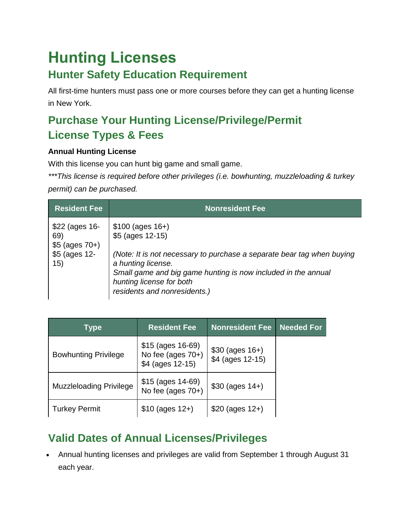# **Hunting Licenses**

### **Hunter Safety Education Requirement**

All first-time hunters must pass one or more courses before they can get a hunting license in New York.

### **Purchase Your Hunting License/Privilege/Permit License Types & Fees**

#### **Annual Hunting License**

With this license you can hunt big game and small game.

*\*\*\*This license is required before other privileges (i.e. bowhunting, muzzleloading & turkey* 

*permit) can be purchased.*

| <b>Resident Fee</b>                                                  | <b>Nonresident Fee</b>                                                                                                                                                                                                                                             |
|----------------------------------------------------------------------|--------------------------------------------------------------------------------------------------------------------------------------------------------------------------------------------------------------------------------------------------------------------|
| $$22$ (ages 16-<br>69)<br>$$5$ (ages $70+$ )<br>\$5 (ages 12-<br>15) | $$100 (ages 16+)$<br>\$5 (ages 12-15)<br>(Note: It is not necessary to purchase a separate bear tag when buying<br>a hunting license.<br>Small game and big game hunting is now included in the annual<br>hunting license for both<br>residents and nonresidents.) |

| <b>Type</b>                    | <b>Resident Fee</b>                                               | <b>Nonresident Fee</b>                  | <b>Needed For</b> |
|--------------------------------|-------------------------------------------------------------------|-----------------------------------------|-------------------|
| <b>Bowhunting Privilege</b>    | $$15$ (ages $16-69$ )<br>No fee (ages $70+$ )<br>\$4 (ages 12-15) | $$30$ (ages $16+$ )<br>\$4 (ages 12-15) |                   |
| <b>Muzzleloading Privilege</b> | $$15$ (ages $14-69$ )<br>No fee (ages $70+$ )                     | $$30 (ages 14+)$                        |                   |
| <b>Turkey Permit</b>           | $$10$ (ages $12+$ )                                               | $$20$ (ages $12+$ )                     |                   |

### **Valid Dates of Annual Licenses/Privileges**

• Annual hunting licenses and privileges are valid from September 1 through August 31 each year.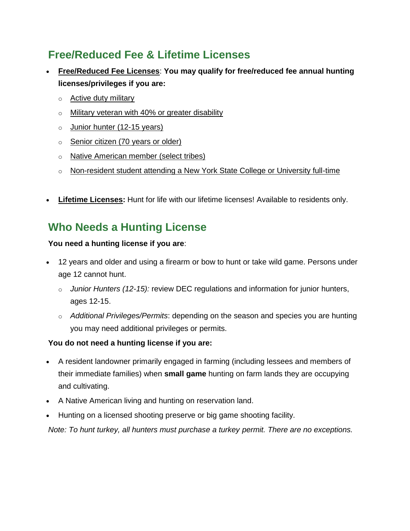### **Free/Reduced Fee & Lifetime Licenses**

- **[Free/Reduced Fee Licenses](https://www.dec.ny.gov/permits/6097.html)**: **You may qualify for free/reduced fee annual hunting licenses/privileges if you are:**
	- o **[Active duty military](https://www.dec.ny.gov/permits/6097.html#Active)**
	- o [Military veteran with 40% or greater disability](https://www.dec.ny.gov/permits/6097.html#Vet)
	- o [Junior hunter \(12-15 years\)](https://www.dec.ny.gov/permits/6097.html#Juniors)
	- o [Senior citizen \(70 years or older\)](https://www.dec.ny.gov/permits/6097.html#Seniors)
	- o [Native American member \(select tribes\)](https://www.dec.ny.gov/permits/6097.html#Native)
	- $\circ$  [Non-resident student attending a New York State College or University full-time](https://www.dec.ny.gov/permits/6097.html#Student)
- **[Lifetime Licenses:](https://www.dec.ny.gov/permits/6099.html)** Hunt for life with our lifetime licenses! Available to residents only.

### **Who Needs a Hunting License**

#### **You need a hunting license if you are**:

- 12 years and older and using a firearm or bow to hunt or take wild game. Persons under age 12 cannot hunt.
	- o *[Junior Hunters \(12-15\):](https://www.dec.ny.gov/outdoor/46245.html)* review DEC regulations and information for junior hunters, ages 12-15.
	- o *Additional Privileges/Permits*: depending on the season and species you are hunting you may need additional privileges or permits.

#### **You do not need a hunting license if you are:**

- A resident landowner primarily engaged in farming (including lessees and members of their immediate families) when **small game** hunting on farm lands they are occupying and cultivating.
- A Native American living and hunting on reservation land.
- Hunting on a licensed shooting preserve or big game shooting facility.

*Note: To hunt turkey, all hunters must purchase a turkey permit. There are no exceptions.*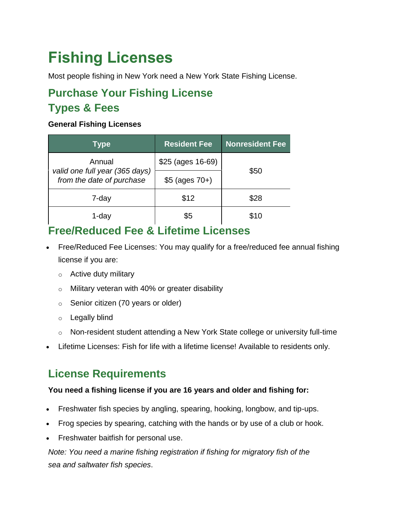## **Fishing Licenses**

Most people fishing in New York need a New York State Fishing License.

### **Purchase Your Fishing License Types & Fees**

#### **General Fishing Licenses**

| <b>Type</b>                                                 | <b>Resident Fee</b> | <b>Nonresident Fee</b> |  |
|-------------------------------------------------------------|---------------------|------------------------|--|
| Annual                                                      | \$25 (ages 16-69)   |                        |  |
| valid one full year (365 days)<br>from the date of purchase | $$5$ (ages $70+$ )  | \$50                   |  |
| 7-day                                                       | \$12                | \$28                   |  |
| 1-dav                                                       | \$5                 | \$10                   |  |

### **Free/Reduced Fee & Lifetime Licenses**

- [Free/Reduced Fee Licenses:](https://www.dec.ny.gov/permits/6097.html) You may qualify for a free/reduced fee annual fishing license if you are:
	- o [Active duty military](https://www.dec.ny.gov/permits/6097.html#Active)
	- o [Military veteran with 40% or greater disability](https://www.dec.ny.gov/permits/6097.html#Vet)
	- o [Senior citizen \(70 years or older\)](https://www.dec.ny.gov/permits/6097.html#Seniors)
	- o [Legally blind](https://www.dec.ny.gov/permits/6097.html#Disab)
	- o [Non-resident student attending a New York State college or university full-time](https://www.dec.ny.gov/permits/6097.html#Student)
- [Lifetime Licenses:](https://www.dec.ny.gov/permits/6099.html) Fish for life with a lifetime license! Available to residents only.

### **License Requirements**

#### **You need a fishing license if you are 16 years and older and fishing for:**

- Freshwater fish species by angling, spearing, hooking, longbow, and tip-ups.
- Frog species by spearing, catching with the hands or by use of a club or hook.
- Freshwater baitfish for personal use.

*Note: You need a [marine fishing registration](https://www.dec.ny.gov/permits/54950.html) if fishing for [migratory fish of the](https://www.dec.ny.gov/permits/95490.html)  [sea](https://www.dec.ny.gov/permits/95490.html) and [saltwater fish species](https://www.dec.ny.gov/outdoor/7894.html)*.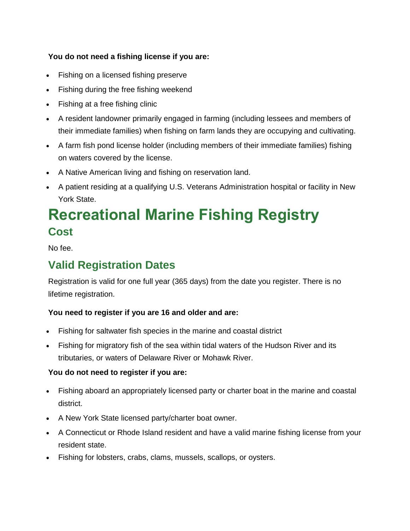#### **You do not need a fishing license if you are:**

- Fishing on a licensed fishing preserve
- Fishing during the [free fishing weekend](https://www.dec.ny.gov/outdoor/89821.html)
- Fishing at a [free fishing clinic](https://www.dec.ny.gov/outdoor/27123.html)
- A resident landowner primarily engaged in farming (including lessees and members of their immediate families) when fishing on farm lands they are occupying and cultivating.
- A farm fish pond license holder (including members of their immediate families) fishing on waters covered by the license.
- A Native American living and fishing on reservation land.
- A patient residing at a qualifying U.S. Veterans Administration hospital or facility in New York State.

## **Recreational Marine Fishing Registry Cost**

No fee.

### **Valid Registration Dates**

Registration is valid for one full year (365 days) from the date you register. There is no lifetime registration.

#### **You need to register if you are 16 and older and are:**

- Fishing for saltwater fish species in the marine and coastal district
- Fishing for [migratory fish of the sea](https://www.dec.ny.gov/permits/95490.html) within tidal waters of the Hudson River and its tributaries, or waters of Delaware River or Mohawk River.

#### **You do not need to register if you are:**

- Fishing aboard an appropriately licensed party or charter boat in the marine and coastal district.
- A New York State licensed party/charter boat owner.
- A Connecticut or Rhode Island resident and have a valid marine fishing license from your resident state.
- Fishing for lobsters, crabs, clams, mussels, scallops, or oysters.